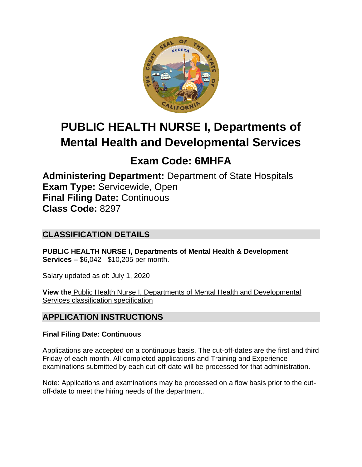

# **PUBLIC HEALTH NURSE I, Departments of Mental Health and Developmental Services**

## **Exam Code: 6MHFA**

**Administering Department:** Department of State Hospitals **Exam Type:** Servicewide, Open **Final Filing Date:** Continuous **Class Code:** 8297

## **CLASSIFICATION DETAILS**

**PUBLIC HEALTH NURSE I, Departments of Mental Health & Development Services –** \$6,042 - \$10,205 per month.

Salary updated as of: July 1, 2020

**View the** [Public Health Nurse I, Departments of Mental Health and Developmental](https://www.calhr.ca.gov/state-hr-professionals/pages/8297.aspx)  [Services classification specification](https://www.calhr.ca.gov/state-hr-professionals/pages/8297.aspx)

## **APPLICATION INSTRUCTIONS**

#### **Final Filing Date: Continuous**

Applications are accepted on a continuous basis. The cut-off-dates are the first and third Friday of each month. All completed applications and Training and Experience examinations submitted by each cut-off-date will be processed for that administration.

Note: Applications and examinations may be processed on a flow basis prior to the cutoff-date to meet the hiring needs of the department.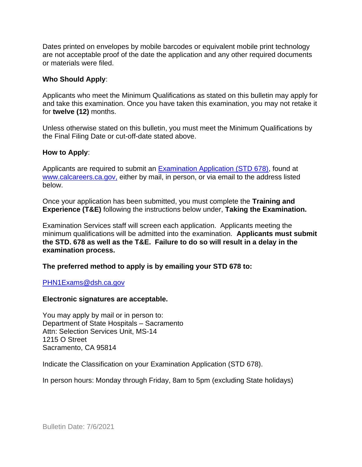Dates printed on envelopes by mobile barcodes or equivalent mobile print technology are not acceptable proof of the date the application and any other required documents or materials were filed.

#### **Who Should Apply**:

Applicants who meet the Minimum Qualifications as stated on this bulletin may apply for and take this examination. Once you have taken this examination, you may not retake it for **twelve (12)** months.

Unless otherwise stated on this bulletin, you must meet the Minimum Qualifications by the Final Filing Date or cut-off-date stated above.

#### **How to Apply**:

Applicants are required to submit an [Examination Application \(STD 678\),](https://jobs.ca.gov/pdf/std678.pdf) found at [www.calcareers.ca.gov,](http://www.calcareers.ca.gov/) either by mail, in person, or via email to the address listed below.

Once your application has been submitted, you must complete the **Training and Experience (T&E)** following the instructions below under, **Taking the Examination.**

Examination Services staff will screen each application. Applicants meeting the minimum qualifications will be admitted into the examination. **Applicants must submit the STD. 678 as well as the T&E. Failure to do so will result in a delay in the examination process.**

**The preferred method to apply is by emailing your STD 678 to:**

[PHN1Exams@dsh.ca.gov](mailto:PHN1Exams@dsh.ca.gov)

#### **Electronic signatures are acceptable.**

You may apply by mail or in person to: Department of State Hospitals – Sacramento Attn: Selection Services Unit, MS-14 1215 O Street Sacramento, CA 95814

Indicate the Classification on your Examination Application (STD 678).

In person hours: Monday through Friday, 8am to 5pm (excluding State holidays)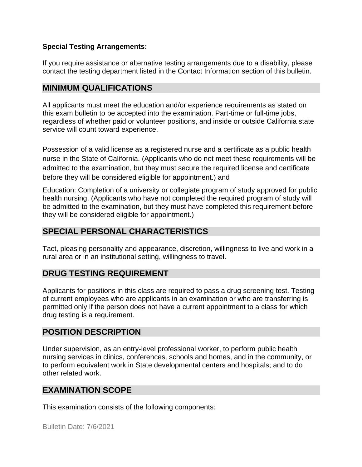#### **Special Testing Arrangements:**

If you require assistance or alternative testing arrangements due to a disability, please contact the testing department listed in the Contact Information section of this bulletin.

#### **MINIMUM QUALIFICATIONS**

All applicants must meet the education and/or experience requirements as stated on this exam bulletin to be accepted into the examination. Part-time or full-time jobs, regardless of whether paid or volunteer positions, and inside or outside California state service will count toward experience.

Possession of a valid license as a registered nurse and a certificate as a public health nurse in the State of California. (Applicants who do not meet these requirements will be admitted to the examination, but they must secure the required license and certificate before they will be considered eligible for appointment.) and

Education: Completion of a university or collegiate program of study approved for public health nursing. (Applicants who have not completed the required program of study will be admitted to the examination, but they must have completed this requirement before they will be considered eligible for appointment.)

## **SPECIAL PERSONAL CHARACTERISTICS**

Tact, pleasing personality and appearance, discretion, willingness to live and work in a rural area or in an institutional setting, willingness to travel.

#### **DRUG TESTING REQUIREMENT**

Applicants for positions in this class are required to pass a drug screening test. Testing of current employees who are applicants in an examination or who are transferring is permitted only if the person does not have a current appointment to a class for which drug testing is a requirement.

#### **POSITION DESCRIPTION**

Under supervision, as an entry-level professional worker, to perform public health nursing services in clinics, conferences, schools and homes, and in the community, or to perform equivalent work in State developmental centers and hospitals; and to do other related work.

#### **EXAMINATION SCOPE**

This examination consists of the following components: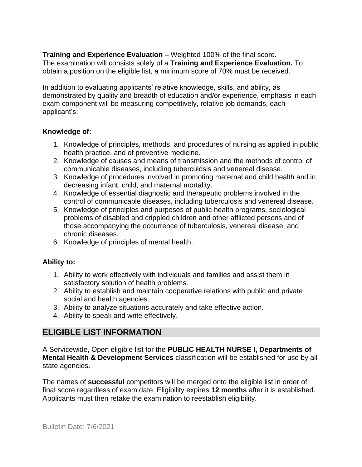**Training and Experience Evaluation –** Weighted 100% of the final score. The examination will consists solely of a **Training and Experience Evaluation.** To obtain a position on the eligible list, a minimum score of 70% must be received.

In addition to evaluating applicants' relative knowledge, skills, and ability, as demonstrated by quality and breadth of education and/or experience, emphasis in each exam component will be measuring competitively, relative job demands, each applicant's:

#### **Knowledge of:**

- 1. Knowledge of principles, methods, and procedures of nursing as applied in public health practice, and of preventive medicine.
- 2. Knowledge of causes and means of transmission and the methods of control of communicable diseases, including tuberculosis and venereal disease.
- 3. Knowledge of procedures involved in promoting maternal and child health and in decreasing infant, child, and maternal mortality.
- 4. Knowledge of essential diagnostic and therapeutic problems involved in the control of communicable diseases, including tuberculosis and venereal disease.
- 5. Knowledge of principles and purposes of public health programs, sociological problems of disabled and crippled children and other afflicted persons and of those accompanying the occurrence of tuberculosis, venereal disease, and chronic diseases.
- 6. Knowledge of principles of mental health.

#### **Ability to:**

- 1. Ability to work effectively with individuals and families and assist them in satisfactory solution of health problems.
- 2. Ability to establish and maintain cooperative relations with public and private social and health agencies.
- 3. Ability to analyze situations accurately and take effective action.
- 4. Ability to speak and write effectively.

#### **ELIGIBLE LIST INFORMATION**

A Servicewide, Open eligible list for the **PUBLIC HEALTH NURSE I, Departments of Mental Health & Development Services** classification will be established for use by all state agencies.

The names of **successful** competitors will be merged onto the eligible list in order of final score regardless of exam date. Eligibility expires **12 months** after it is established. Applicants must then retake the examination to reestablish eligibility.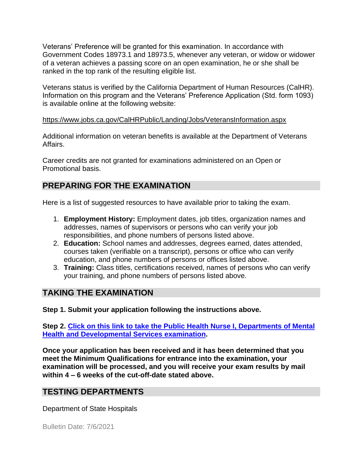Veterans' Preference will be granted for this examination. In accordance with Government Codes 18973.1 and 18973.5, whenever any veteran, or widow or widower of a veteran achieves a passing score on an open examination, he or she shall be ranked in the top rank of the resulting eligible list.

Veterans status is verified by the California Department of Human Resources (CalHR). Information on this program and the Veterans' Preference Application (Std. form 1093) is available online at the following website:

#### <https://www.jobs.ca.gov/CalHRPublic/Landing/Jobs/VeteransInformation.aspx>

Additional information on veteran benefits is available at the Department of Veterans Affairs.

Career credits are not granted for examinations administered on an Open or Promotional basis.

## **PREPARING FOR THE EXAMINATION**

Here is a list of suggested resources to have available prior to taking the exam.

- 1. **Employment History:** Employment dates, job titles, organization names and addresses, names of supervisors or persons who can verify your job responsibilities, and phone numbers of persons listed above.
- 2. **Education:** School names and addresses, degrees earned, dates attended, courses taken (verifiable on a transcript), persons or office who can verify education, and phone numbers of persons or offices listed above.
- 3. **Training:** Class titles, certifications received, names of persons who can verify your training, and phone numbers of persons listed above.

#### **TAKING THE EXAMINATION**

**Step 1. Submit your application following the instructions above.**

**Step 2. [Click on this link to take the Public Health Nurse I, Departments of Mental](https://www.surveymonkey.com/r/LBN9NRP)  [Health and Developmental Services](https://www.surveymonkey.com/r/LBN9NRP) examination.**

**Once your application has been received and it has been determined that you meet the Minimum Qualifications for entrance into the examination, your examination will be processed, and you will receive your exam results by mail within 4 – 6 weeks of the cut-off-date stated above.**

#### **TESTING DEPARTMENTS**

Department of State Hospitals

Bulletin Date: 7/6/2021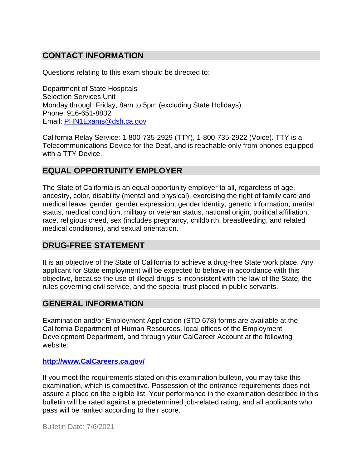## **CONTACT INFORMATION**

Questions relating to this exam should be directed to:

Department of State Hospitals Selection Services Unit Monday through Friday, 8am to 5pm (excluding State Holidays) Phone: 916-651-8832 Email: [PHN1Exams@dsh.ca.gov](mailto:PHN1Exams@dsh.ca.gov)

California Relay Service: 1-800-735-2929 (TTY), 1-800-735-2922 (Voice). TTY is a Telecommunications Device for the Deaf, and is reachable only from phones equipped with a TTY Device.

#### **EQUAL OPPORTUNITY EMPLOYER**

The State of California is an equal opportunity employer to all, regardless of age, ancestry, color, disability (mental and physical), exercising the right of family care and medical leave, gender, gender expression, gender identity, genetic information, marital status, medical condition, military or veteran status, national origin, political affiliation, race, religious creed, sex (includes pregnancy, childbirth, breastfeeding, and related medical conditions), and sexual orientation.

#### **DRUG-FREE STATEMENT**

It is an objective of the State of California to achieve a drug-free State work place. Any applicant for State employment will be expected to behave in accordance with this objective, because the use of illegal drugs is inconsistent with the law of the State, the rules governing civil service, and the special trust placed in public servants.

#### **GENERAL INFORMATION**

Examination and/or Employment Application (STD 678) forms are available at the California Department of Human Resources, local offices of the Employment Development Department, and through your CalCareer Account at the following website:

#### **[http://www.CalCareers.ca.gov/](http://www.calcareers.ca.gov/)**

If you meet the requirements stated on this examination bulletin, you may take this examination, which is competitive. Possession of the entrance requirements does not assure a place on the eligible list. Your performance in the examination described in this bulletin will be rated against a predetermined job-related rating, and all applicants who pass will be ranked according to their score.